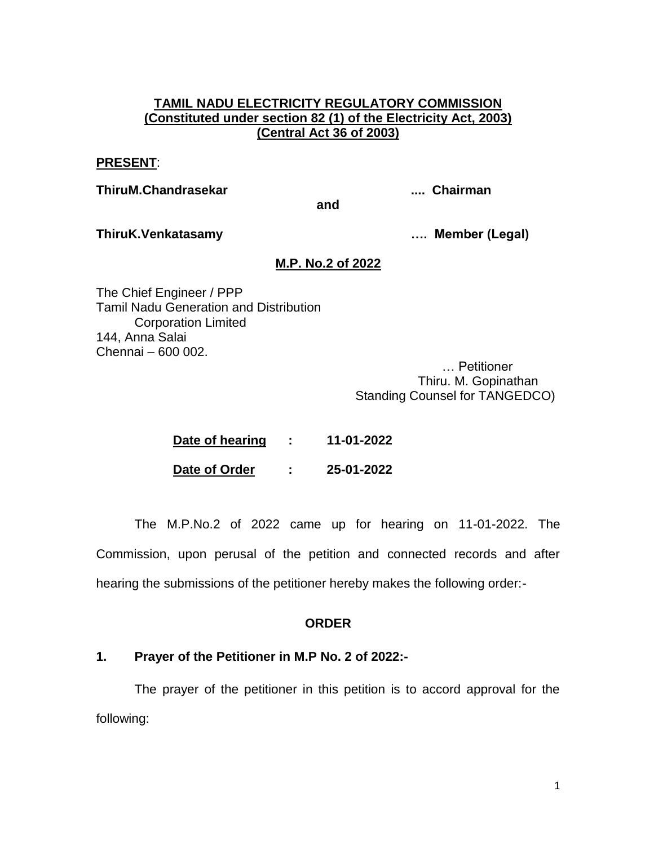### **TAMIL NADU ELECTRICITY REGULATORY COMMISSION (Constituted under section 82 (1) of the Electricity Act, 2003) (Central Act 36 of 2003)**

#### **PRESENT**:

**ThiruM.Chandrasekar .... Chairman**

**ThiruK.Venkatasamy …. Member (Legal)**

# **M.P. No.2 of 2022**

**and**

The Chief Engineer / PPP Tamil Nadu Generation and Distribution Corporation Limited 144, Anna Salai Chennai – 600 002.

… Petitioner Thiru. M. Gopinathan Standing Counsel for TANGEDCO)

| Date of hearing |   | 11-01-2022 |
|-----------------|---|------------|
| Date of Order   | ٠ | 25-01-2022 |

The M.P.No.2 of 2022 came up for hearing on 11-01-2022. The Commission, upon perusal of the petition and connected records and after hearing the submissions of the petitioner hereby makes the following order:-

# **ORDER**

### **1. Prayer of the Petitioner in M.P No. 2 of 2022:-**

The prayer of the petitioner in this petition is to accord approval for the following: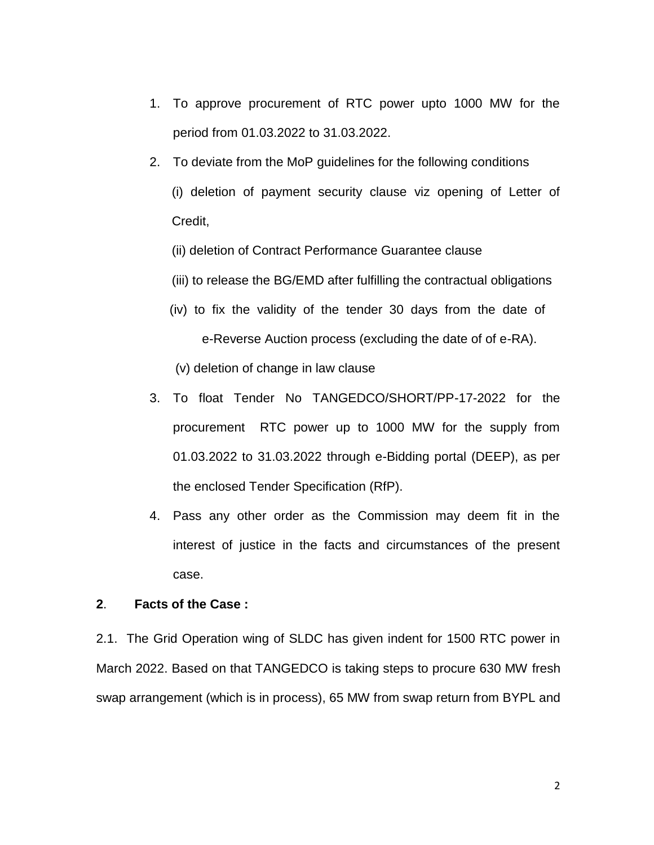- 1. To approve procurement of RTC power upto 1000 MW for the period from 01.03.2022 to 31.03.2022.
- 2. To deviate from the MoP guidelines for the following conditions (i) deletion of payment security clause viz opening of Letter of Credit,
	- (ii) deletion of Contract Performance Guarantee clause
	- (iii) to release the BG/EMD after fulfilling the contractual obligations
	- (iv) to fix the validity of the tender 30 days from the date of e-Reverse Auction process (excluding the date of of e-RA).
	- (v) deletion of change in law clause
- 3. To float Tender No TANGEDCO/SHORT/PP-17-2022 for the procurement RTC power up to 1000 MW for the supply from 01.03.2022 to 31.03.2022 through e-Bidding portal (DEEP), as per the enclosed Tender Specification (RfP).
- 4. Pass any other order as the Commission may deem fit in the interest of justice in the facts and circumstances of the present case.

# **2**. **Facts of the Case :**

2.1. The Grid Operation wing of SLDC has given indent for 1500 RTC power in March 2022. Based on that TANGEDCO is taking steps to procure 630 MW fresh swap arrangement (which is in process), 65 MW from swap return from BYPL and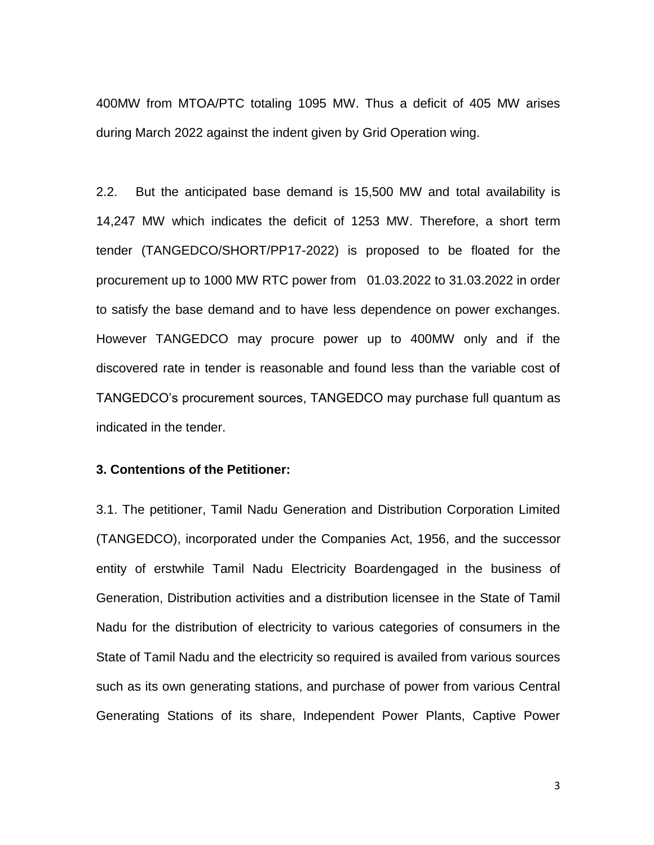400MW from MTOA/PTC totaling 1095 MW. Thus a deficit of 405 MW arises during March 2022 against the indent given by Grid Operation wing.

2.2. But the anticipated base demand is 15,500 MW and total availability is 14,247 MW which indicates the deficit of 1253 MW. Therefore, a short term tender (TANGEDCO/SHORT/PP17-2022) is proposed to be floated for the procurement up to 1000 MW RTC power from 01.03.2022 to 31.03.2022 in order to satisfy the base demand and to have less dependence on power exchanges. However TANGEDCO may procure power up to 400MW only and if the discovered rate in tender is reasonable and found less than the variable cost of TANGEDCO's procurement sources, TANGEDCO may purchase full quantum as indicated in the tender.

### **3. Contentions of the Petitioner:**

3.1. The petitioner, Tamil Nadu Generation and Distribution Corporation Limited (TANGEDCO), incorporated under the Companies Act, 1956, and the successor entity of erstwhile Tamil Nadu Electricity Boardengaged in the business of Generation, Distribution activities and a distribution licensee in the State of Tamil Nadu for the distribution of electricity to various categories of consumers in the State of Tamil Nadu and the electricity so required is availed from various sources such as its own generating stations, and purchase of power from various Central Generating Stations of its share, Independent Power Plants, Captive Power

3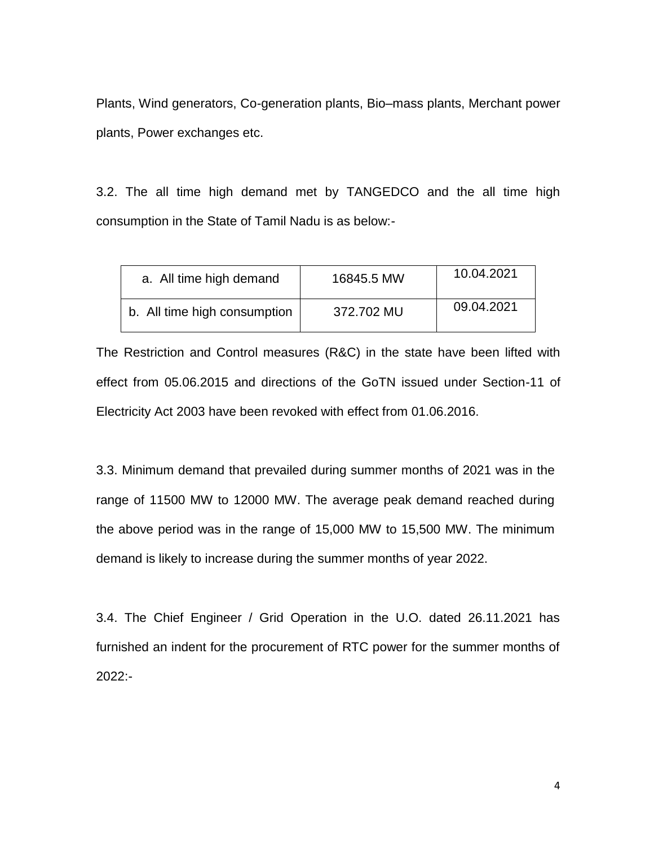Plants, Wind generators, Co-generation plants, Bio–mass plants, Merchant power plants, Power exchanges etc.

3.2. The all time high demand met by TANGEDCO and the all time high consumption in the State of Tamil Nadu is as below:-

| a. All time high demand      | 16845.5 MW | 10.04.2021 |
|------------------------------|------------|------------|
| b. All time high consumption | 372.702 MU | 09.04.2021 |

The Restriction and Control measures (R&C) in the state have been lifted with effect from 05.06.2015 and directions of the GoTN issued under Section-11 of Electricity Act 2003 have been revoked with effect from 01.06.2016.

3.3. Minimum demand that prevailed during summer months of 2021 was in the range of 11500 MW to 12000 MW. The average peak demand reached during the above period was in the range of 15,000 MW to 15,500 MW. The minimum demand is likely to increase during the summer months of year 2022.

3.4. The Chief Engineer / Grid Operation in the U.O. dated 26.11.2021 has furnished an indent for the procurement of RTC power for the summer months of 2022:-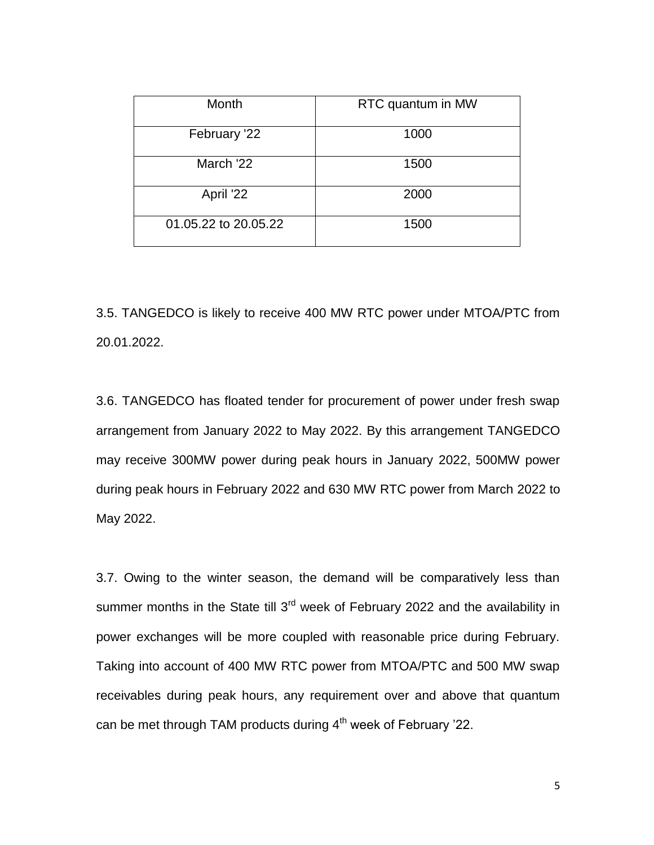| Month                | RTC quantum in MW |  |  |
|----------------------|-------------------|--|--|
| February '22         | 1000              |  |  |
| March '22            | 1500              |  |  |
| April '22            | 2000              |  |  |
| 01.05.22 to 20.05.22 | 1500              |  |  |

3.5. TANGEDCO is likely to receive 400 MW RTC power under MTOA/PTC from 20.01.2022.

3.6. TANGEDCO has floated tender for procurement of power under fresh swap arrangement from January 2022 to May 2022. By this arrangement TANGEDCO may receive 300MW power during peak hours in January 2022, 500MW power during peak hours in February 2022 and 630 MW RTC power from March 2022 to May 2022.

3.7. Owing to the winter season, the demand will be comparatively less than summer months in the State till  $3<sup>rd</sup>$  week of February 2022 and the availability in power exchanges will be more coupled with reasonable price during February. Taking into account of 400 MW RTC power from MTOA/PTC and 500 MW swap receivables during peak hours, any requirement over and above that quantum can be met through TAM products during  $4<sup>th</sup>$  week of February '22.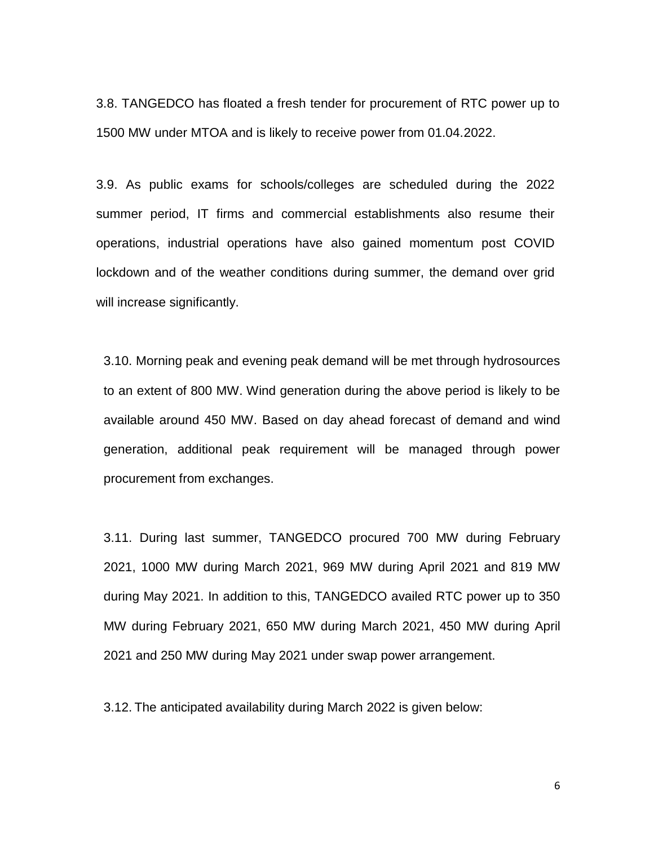3.8. TANGEDCO has floated a fresh tender for procurement of RTC power up to 1500 MW under MTOA and is likely to receive power from 01.04.2022.

3.9. As public exams for schools/colleges are scheduled during the 2022 summer period, IT firms and commercial establishments also resume their operations, industrial operations have also gained momentum post COVID lockdown and of the weather conditions during summer, the demand over grid will increase significantly.

3.10. Morning peak and evening peak demand will be met through hydrosources to an extent of 800 MW. Wind generation during the above period is likely to be available around 450 MW. Based on day ahead forecast of demand and wind generation, additional peak requirement will be managed through power procurement from exchanges.

3.11. During last summer, TANGEDCO procured 700 MW during February 2021, 1000 MW during March 2021, 969 MW during April 2021 and 819 MW during May 2021. In addition to this, TANGEDCO availed RTC power up to 350 MW during February 2021, 650 MW during March 2021, 450 MW during April 2021 and 250 MW during May 2021 under swap power arrangement.

3.12. The anticipated availability during March 2022 is given below:

6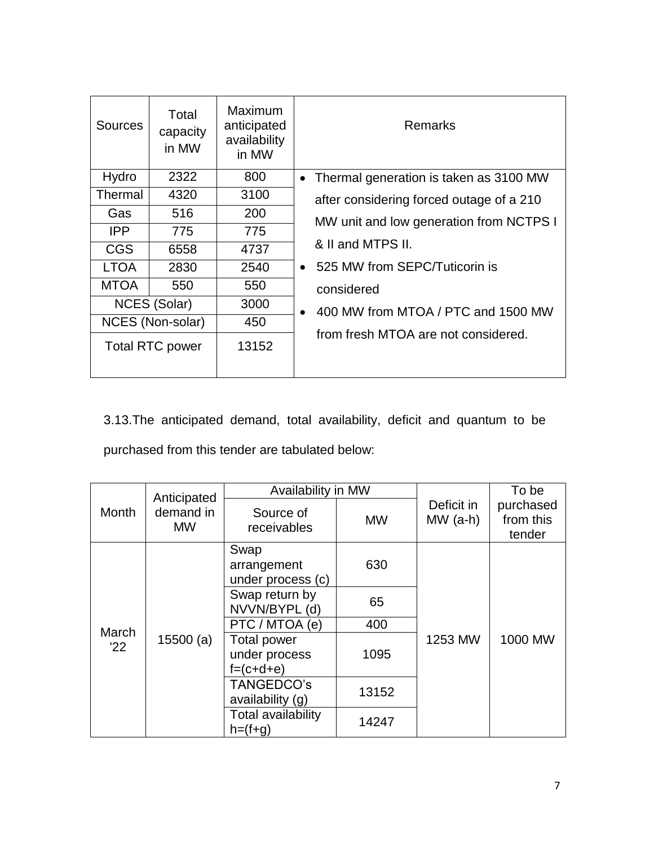| <b>Sources</b> | Total<br>capacity<br>in MW | Maximum<br>anticipated<br>availability<br>in MW | Remarks                                             |  |  |
|----------------|----------------------------|-------------------------------------------------|-----------------------------------------------------|--|--|
| Hydro          | 2322                       | 800                                             | Thermal generation is taken as 3100 MW<br>$\bullet$ |  |  |
| Thermal        | 4320                       | 3100                                            | after considering forced outage of a 210            |  |  |
| Gas            | 516                        | 200                                             | MW unit and low generation from NCTPS I             |  |  |
| <b>IPP</b>     | 775                        | 775                                             |                                                     |  |  |
| <b>CGS</b>     | 6558                       | 4737                                            | & II and MTPS II.                                   |  |  |
| <b>LTOA</b>    | 2830                       | 2540                                            | • 525 MW from SEPC/Tuticorin is                     |  |  |
| <b>MTOA</b>    | 550                        | 550                                             | considered                                          |  |  |
|                | NCES (Solar)               | 3000                                            | 400 MW from MTOA / PTC and 1500 MW<br>$\bullet$     |  |  |
|                | NCES (Non-solar)           | 450                                             |                                                     |  |  |
|                | <b>Total RTC power</b>     | 13152                                           | from fresh MTOA are not considered.                 |  |  |

3.13.The anticipated demand, total availability, deficit and quantum to be purchased from this tender are tabulated below:

| Anticipated               |           | Availability in MW                                 |           |                         | To be                            |
|---------------------------|-----------|----------------------------------------------------|-----------|-------------------------|----------------------------------|
| Month<br><b>MW</b>        | demand in | Source of<br>receivables                           | <b>MW</b> | Deficit in<br>$MW(a-h)$ | purchased<br>from this<br>tender |
| March<br>15500(a)<br>'22' |           | Swap<br>arrangement<br>under process (c)           | 630       |                         |                                  |
|                           |           | Swap return by<br>NVVN/BYPL (d)                    | 65        |                         |                                  |
|                           |           | PTC / MTOA (e)                                     | 400       |                         |                                  |
|                           |           | <b>Total power</b><br>under process<br>$f=(c+d+e)$ | 1095      | 1253 MW                 | 1000 MW                          |
|                           |           | TANGEDCO's<br>availability (g)                     | 13152     |                         |                                  |
|                           |           | Total availability<br>$h=(f+g)$                    | 14247     |                         |                                  |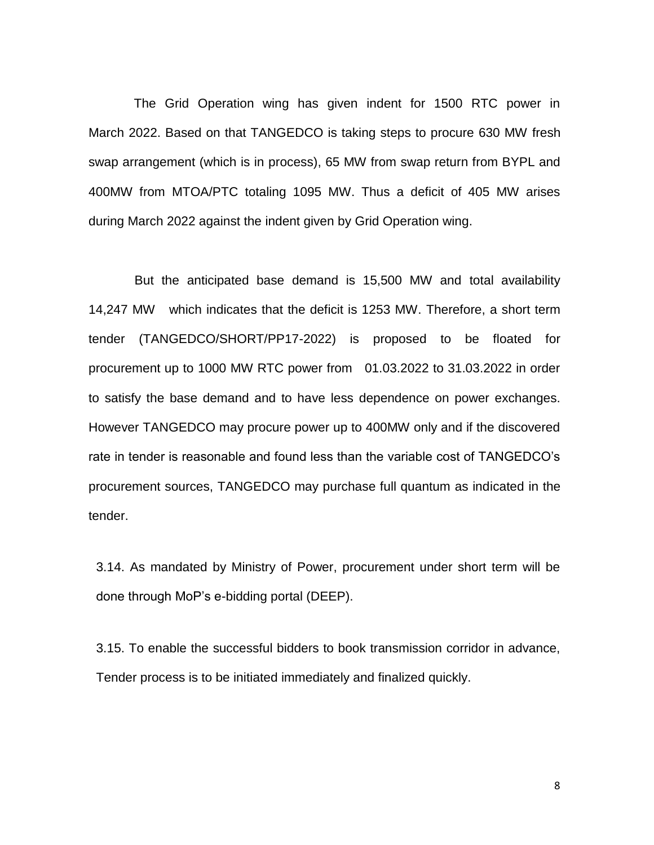The Grid Operation wing has given indent for 1500 RTC power in March 2022. Based on that TANGEDCO is taking steps to procure 630 MW fresh swap arrangement (which is in process), 65 MW from swap return from BYPL and 400MW from MTOA/PTC totaling 1095 MW. Thus a deficit of 405 MW arises during March 2022 against the indent given by Grid Operation wing.

But the anticipated base demand is 15,500 MW and total availability 14,247 MW which indicates that the deficit is 1253 MW. Therefore, a short term tender (TANGEDCO/SHORT/PP17-2022) is proposed to be floated for procurement up to 1000 MW RTC power from 01.03.2022 to 31.03.2022 in order to satisfy the base demand and to have less dependence on power exchanges. However TANGEDCO may procure power up to 400MW only and if the discovered rate in tender is reasonable and found less than the variable cost of TANGEDCO's procurement sources, TANGEDCO may purchase full quantum as indicated in the tender.

3.14. As mandated by Ministry of Power, procurement under short term will be done through MoP's e-bidding portal (DEEP).

3.15. To enable the successful bidders to book transmission corridor in advance, Tender process is to be initiated immediately and finalized quickly.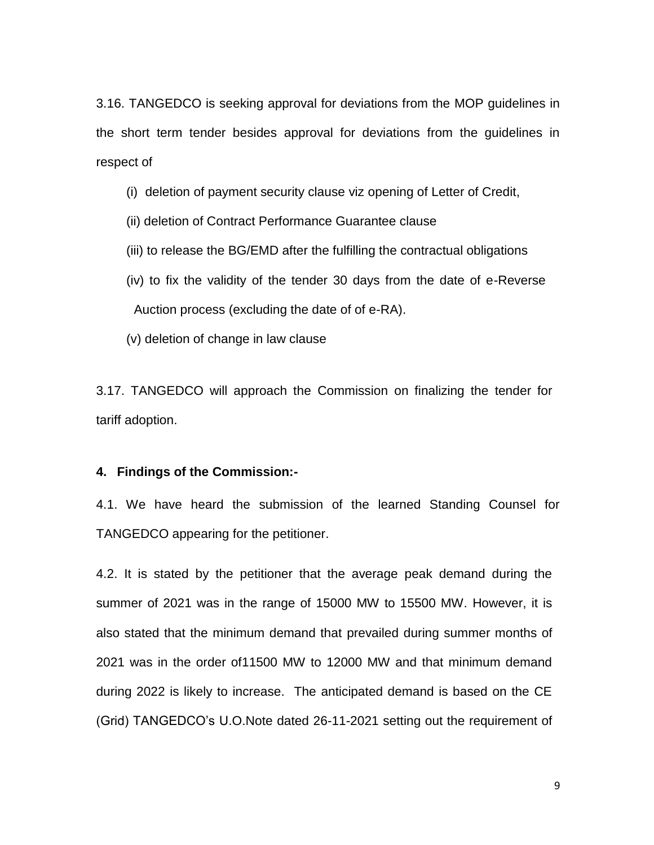3.16. TANGEDCO is seeking approval for deviations from the MOP guidelines in the short term tender besides approval for deviations from the guidelines in respect of

- (i) deletion of payment security clause viz opening of Letter of Credit,
- (ii) deletion of Contract Performance Guarantee clause
- (iii) to release the BG/EMD after the fulfilling the contractual obligations
- (iv) to fix the validity of the tender 30 days from the date of e-Reverse Auction process (excluding the date of of e-RA).
- (v) deletion of change in law clause

3.17. TANGEDCO will approach the Commission on finalizing the tender for tariff adoption.

#### **4. Findings of the Commission:-**

4.1. We have heard the submission of the learned Standing Counsel for TANGEDCO appearing for the petitioner.

4.2. It is stated by the petitioner that the average peak demand during the summer of 2021 was in the range of 15000 MW to 15500 MW. However, it is also stated that the minimum demand that prevailed during summer months of 2021 was in the order of11500 MW to 12000 MW and that minimum demand during 2022 is likely to increase. The anticipated demand is based on the CE (Grid) TANGEDCO's U.O.Note dated 26-11-2021 setting out the requirement of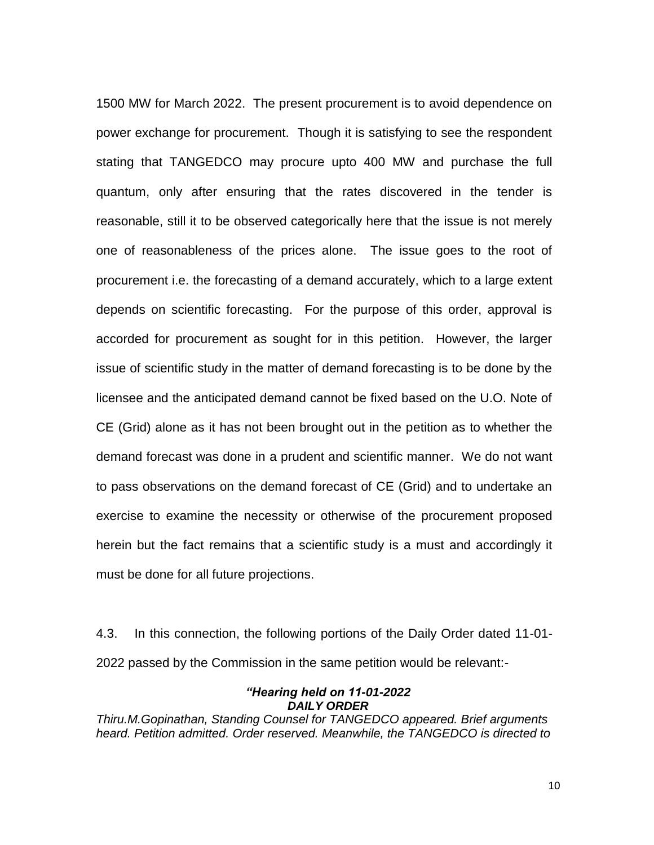1500 MW for March 2022. The present procurement is to avoid dependence on power exchange for procurement. Though it is satisfying to see the respondent stating that TANGEDCO may procure upto 400 MW and purchase the full quantum, only after ensuring that the rates discovered in the tender is reasonable, still it to be observed categorically here that the issue is not merely one of reasonableness of the prices alone. The issue goes to the root of procurement i.e. the forecasting of a demand accurately, which to a large extent depends on scientific forecasting. For the purpose of this order, approval is accorded for procurement as sought for in this petition. However, the larger issue of scientific study in the matter of demand forecasting is to be done by the licensee and the anticipated demand cannot be fixed based on the U.O. Note of CE (Grid) alone as it has not been brought out in the petition as to whether the demand forecast was done in a prudent and scientific manner. We do not want to pass observations on the demand forecast of CE (Grid) and to undertake an exercise to examine the necessity or otherwise of the procurement proposed herein but the fact remains that a scientific study is a must and accordingly it must be done for all future projections.

4.3. In this connection, the following portions of the Daily Order dated 11-01- 2022 passed by the Commission in the same petition would be relevant:-

#### *"Hearing held on 11-01-2022 DAILY ORDER*

*Thiru.M.Gopinathan, Standing Counsel for TANGEDCO appeared. Brief arguments heard. Petition admitted. Order reserved. Meanwhile, the TANGEDCO is directed to*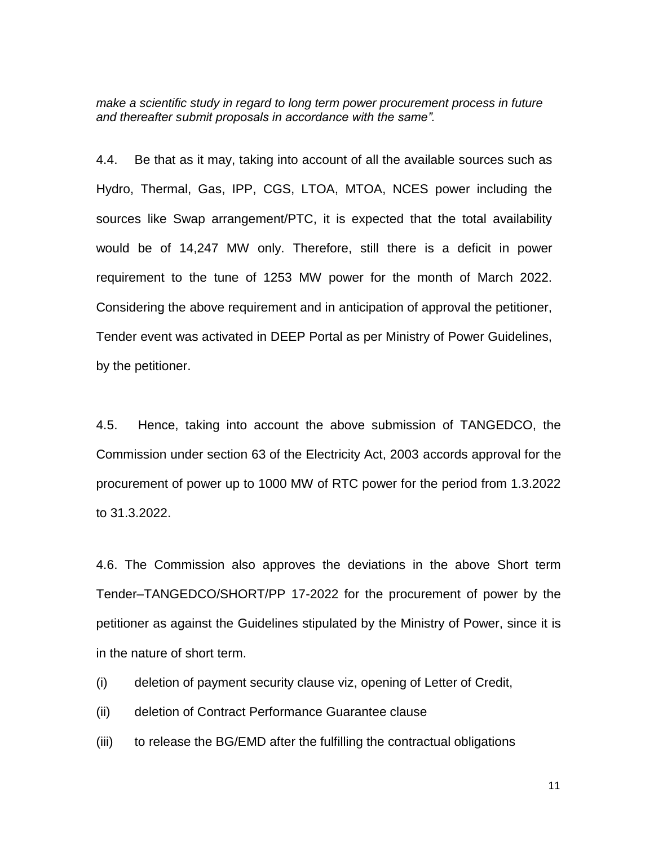*make a scientific study in regard to long term power procurement process in future and thereafter submit proposals in accordance with the same".* 

4.4. Be that as it may, taking into account of all the available sources such as Hydro, Thermal, Gas, IPP, CGS, LTOA, MTOA, NCES power including the sources like Swap arrangement/PTC, it is expected that the total availability would be of 14,247 MW only. Therefore, still there is a deficit in power requirement to the tune of 1253 MW power for the month of March 2022. Considering the above requirement and in anticipation of approval the petitioner, Tender event was activated in DEEP Portal as per Ministry of Power Guidelines, by the petitioner.

4.5. Hence, taking into account the above submission of TANGEDCO, the Commission under section 63 of the Electricity Act, 2003 accords approval for the procurement of power up to 1000 MW of RTC power for the period from 1.3.2022 to 31.3.2022.

4.6. The Commission also approves the deviations in the above Short term Tender–TANGEDCO/SHORT/PP 17-2022 for the procurement of power by the petitioner as against the Guidelines stipulated by the Ministry of Power, since it is in the nature of short term.

- (i) deletion of payment security clause viz, opening of Letter of Credit,
- (ii) deletion of Contract Performance Guarantee clause
- (iii) to release the BG/EMD after the fulfilling the contractual obligations

11